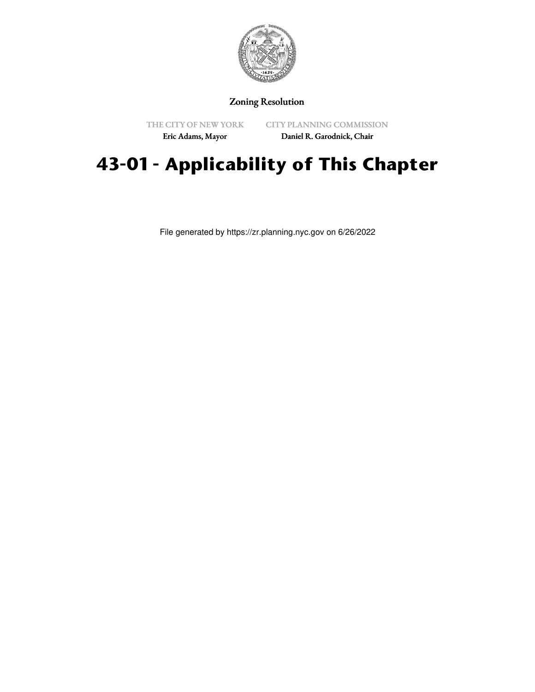

## Zoning Resolution

THE CITY OF NEW YORK Eric Adams, Mayor

CITY PLANNING COMMISSION

Daniel R. Garodnick, Chair

## **43-01 - Applicability of This Chapter**

File generated by https://zr.planning.nyc.gov on 6/26/2022